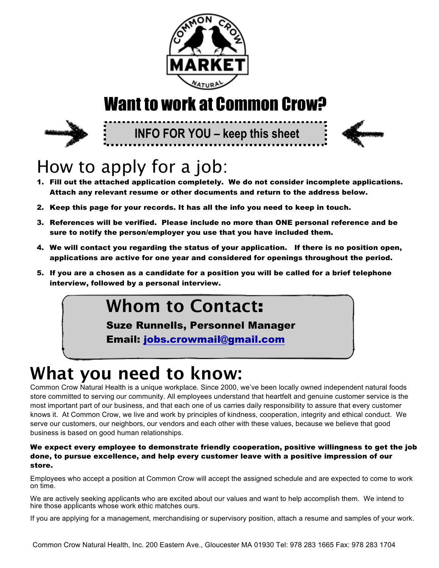

# Want to work at Common Crow?



**INFO FOR YOU – keep this sheet**



# How to apply for a job:

- 1. Fill out the attached application completely. We do not consider incomplete applications. Attach any relevant resume or other documents and return to the address below.
- 2. Keep this page for your records. It has all the info you need to keep in touch.
- 3. References will be verified. Please include no more than ONE personal reference and be sure to notify the person/employer you use that you have included them.
- 4. We will contact you regarding the status of your application. If there is no position open, applications are active for one year and considered for openings throughout the period.
- 5. If you are a chosen as a candidate for a position you will be called for a brief telephone interview, followed by a personal interview.

## **Whom to Contact**:

Suze Runnells, Personnel Manager

Email: jobs.crowmail@gmail.com

# **What you need to know:**

Common Crow Natural Health is a unique workplace. Since 2000, we've been locally owned independent natural foods store committed to serving our community. All employees understand that heartfelt and genuine customer service is the most important part of our business, and that each one of us carries daily responsibility to assure that every customer knows it. At Common Crow, we live and work by principles of kindness, cooperation, integrity and ethical conduct. We serve our customers, our neighbors, our vendors and each other with these values, because we believe that good business is based on good human relationships.

### We expect every employee to demonstrate friendly cooperation, positive willingness to get the job done, to pursue excellence, and help every customer leave with a positive impression of our store.

Employees who accept a position at Common Crow will accept the assigned schedule and are expected to come to work on time.

We are actively seeking applicants who are excited about our values and want to help accomplish them. We intend to hire those applicants whose work ethic matches ours.

If you are applying for a management, merchandising or supervisory position, attach a resume and samples of your work.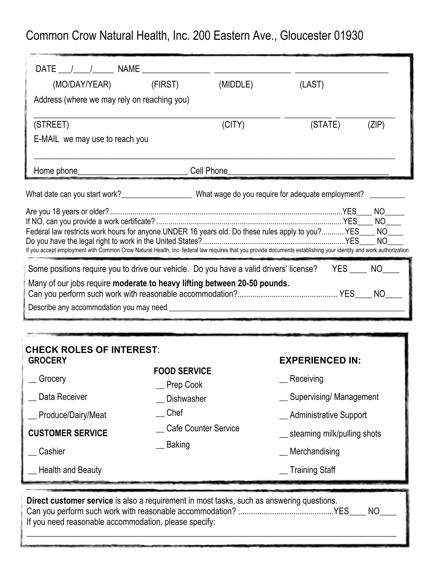Common Crow Natural Health, Inc. 200 Eastern Ave., Gloucester 01930

| (MO/DAY/YEAR)                                                                                                                                                    | (MIDDLE)<br>(FIRST) | (LAST)  |                                  |
|------------------------------------------------------------------------------------------------------------------------------------------------------------------|---------------------|---------|----------------------------------|
| Address (where we may rely on reaching you)                                                                                                                      |                     |         |                                  |
| (STREET)                                                                                                                                                         | (CITY)              | (STATE) | (ZIP)                            |
| E-MAIL we may use to reach you                                                                                                                                   |                     |         |                                  |
| Home phone_                                                                                                                                                      | Cell Phone          |         |                                  |
| What date can you start work? _______________________What wage do you require for adequate employment?                                                           |                     |         |                                  |
|                                                                                                                                                                  |                     |         | NO.                              |
|                                                                                                                                                                  |                     |         | NO                               |
| Federal law restricts work hours for anyone UNDER 16 years old. Do these rules apply to you?YES____                                                              |                     |         | N <sub>O</sub><br>N <sub>O</sub> |
| If you accept employment with Common Crow Natural Health, Inc. federal law requires that you provide documents establishing your identity and work authorization |                     |         |                                  |
| Some positions require you to drive our vehicle. Do you have a valid drivers' license?                                                                           |                     | YES NO  |                                  |
| Many of our jobs require moderate to heavy lifting between 20-50 pounds.                                                                                         |                     |         |                                  |
|                                                                                                                                                                  |                     |         |                                  |
|                                                                                                                                                                  |                     |         |                                  |

| <b>CHECK ROLES OF INTEREST:</b><br><b>GROCERY</b><br>Grocery<br>Data Receiver<br>Produce/Dairy/Meat<br><b>CUSTOMER SERVICE</b><br>Cashier<br><b>Health and Beauty</b>   | <b>FOOD SERVICE</b><br>Prep Cook<br><b>Dishwasher</b><br>Chef<br><b>Cafe Counter Service</b><br><b>Baking</b> | <b>EXPERIENCED IN:</b><br>__ Receiving<br>_ Supervising/ Management<br><b>Administrative Support</b><br>steaming milk/pulling shots<br>Merchandising<br><b>Training Staff</b> |  |  |  |
|-------------------------------------------------------------------------------------------------------------------------------------------------------------------------|---------------------------------------------------------------------------------------------------------------|-------------------------------------------------------------------------------------------------------------------------------------------------------------------------------|--|--|--|
| Direct customer service is also a requirement in most tasks, such as answering questions.<br><b>NO</b><br>YES.<br>If you need reasonable accommodation, please specify: |                                                                                                               |                                                                                                                                                                               |  |  |  |

\_\_\_\_\_\_\_\_\_\_\_\_\_\_\_\_\_\_\_\_\_\_\_\_\_\_\_\_\_\_\_\_\_\_\_\_\_\_\_\_\_\_\_\_\_\_\_\_\_\_\_\_\_\_\_\_\_\_\_\_\_\_\_\_\_\_\_\_\_\_\_\_\_\_\_\_\_\_\_\_\_\_\_\_\_\_\_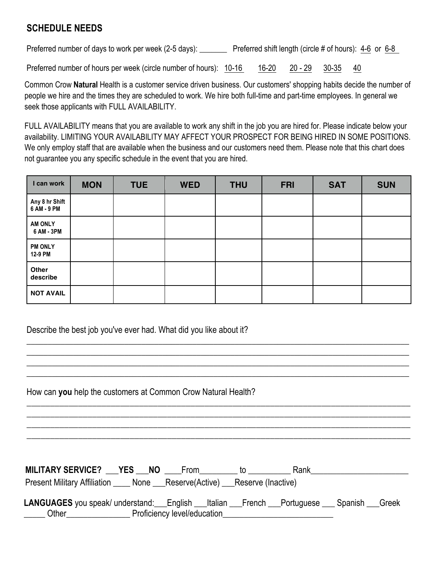## **SCHEDULE NEEDS**

Preferred number of days to work per week (2-5 days): Preferred shift length (circle # of hours): 4-6 or 6-8

Preferred number of hours per week (circle number of hours):  $10-16$  16-20 20 - 29 30-35 40

Common Crow **Natural** Health is a customer service driven business. Our customers' shopping habits decide the number of people we hire and the times they are scheduled to work. We hire both full-time and part-time employees. In general we seek those applicants with FULL AVAILABILITY.

FULL AVAILABILITY means that you are available to work any shift in the job you are hired for. Please indicate below your availability. LIMITING YOUR AVAILABILITY MAY AFFECT YOUR PROSPECT FOR BEING HIRED IN SOME POSITIONS. We only employ staff that are available when the business and our customers need them. Please note that this chart does not guarantee you any specific schedule in the event that you are hired.

| I can work                    | <b>MON</b> | <b>TUE</b> | <b>WED</b> | <b>THU</b> | <b>FRI</b> | <b>SAT</b> | <b>SUN</b> |
|-------------------------------|------------|------------|------------|------------|------------|------------|------------|
| Any 8 hr Shift<br>6 AM - 9 PM |            |            |            |            |            |            |            |
| <b>AM ONLY</b><br>6 AM - 3PM  |            |            |            |            |            |            |            |
| <b>PM ONLY</b><br>12-9 PM     |            |            |            |            |            |            |            |
| Other<br>describe             |            |            |            |            |            |            |            |
| <b>NOT AVAIL</b>              |            |            |            |            |            |            |            |

Describe the best job you've ever had. What did you like about it?

| How can you help the customers at Common Crow Natural Health?                                                                                                                                       |  |  |  |  |  |  |
|-----------------------------------------------------------------------------------------------------------------------------------------------------------------------------------------------------|--|--|--|--|--|--|
|                                                                                                                                                                                                     |  |  |  |  |  |  |
|                                                                                                                                                                                                     |  |  |  |  |  |  |
| MILITARY SERVICE? TYES NO From to Rank                                                                                                                                                              |  |  |  |  |  |  |
| Present Military Affiliation ______ None ____Reserve(Active) ____Reserve (Inactive)                                                                                                                 |  |  |  |  |  |  |
| LANGUAGES you speak/ understand: English __Italian __French __Portuguese __ Spanish __Greek<br>______ Other___________________________Proficiency level/education__________________________________ |  |  |  |  |  |  |

\_\_\_\_\_\_\_\_\_\_\_\_\_\_\_\_\_\_\_\_\_\_\_\_\_\_\_\_\_\_\_\_\_\_\_\_\_\_\_\_\_\_\_\_\_\_\_\_\_\_\_\_\_\_\_\_\_\_\_\_\_\_\_\_\_\_\_\_\_\_\_\_\_\_\_\_\_\_\_\_\_\_\_\_\_\_\_\_\_\_ \_\_\_\_\_\_\_\_\_\_\_\_\_\_\_\_\_\_\_\_\_\_\_\_\_\_\_\_\_\_\_\_\_\_\_\_\_\_\_\_\_\_\_\_\_\_\_\_\_\_\_\_\_\_\_\_\_\_\_\_\_\_\_\_\_\_\_\_\_\_\_\_\_\_\_\_\_\_\_\_\_\_\_\_\_\_\_\_\_\_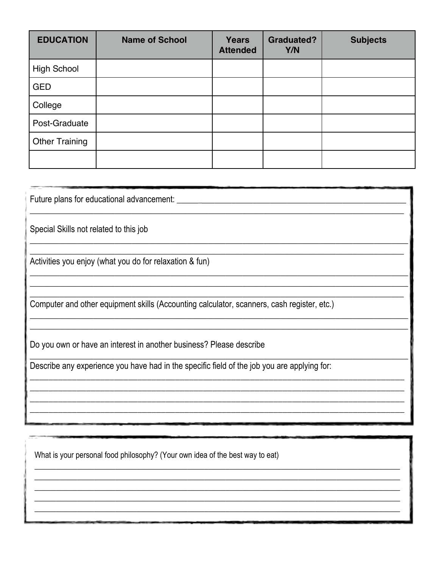| <b>EDUCATION</b>      | <b>Name of School</b> | <b>Years</b><br><b>Attended</b> | <b>Graduated?</b><br>Y/N | <b>Subjects</b> |
|-----------------------|-----------------------|---------------------------------|--------------------------|-----------------|
| <b>High School</b>    |                       |                                 |                          |                 |
| <b>GED</b>            |                       |                                 |                          |                 |
| College               |                       |                                 |                          |                 |
| Post-Graduate         |                       |                                 |                          |                 |
| <b>Other Training</b> |                       |                                 |                          |                 |
|                       |                       |                                 |                          |                 |

| Future plans for educational advancement:                                                   |
|---------------------------------------------------------------------------------------------|
| Special Skills not related to this job                                                      |
| Activities you enjoy (what you do for relaxation & fun)                                     |
| Computer and other equipment skills (Accounting calculator, scanners, cash register, etc.)  |
| Do you own or have an interest in another business? Please describe                         |
| Describe any experience you have had in the specific field of the job you are applying for: |
|                                                                                             |
|                                                                                             |

What is your personal food philosophy? (Your own idea of the best way to eat)

<u> 1989 - Johann John Stein, markin fan it ferstjer fan it ferstjer fan it ferstjer fan it ferstjer fan it fers</u>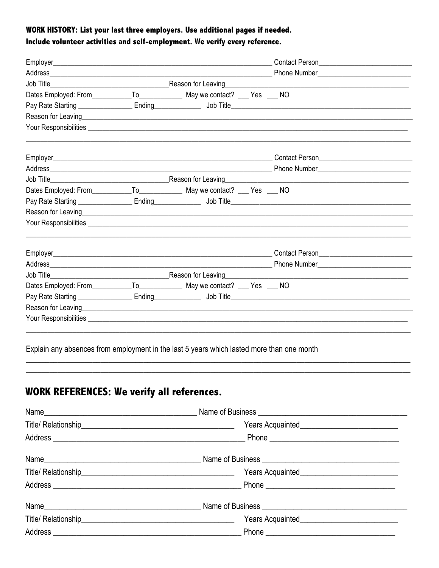### WORK HISTORY: List your last three employers. Use additional pages if needed. Include volunteer activities and self-employment. We verify every reference.

Explain any absences from employment in the last 5 years which lasted more than one month

## **WORK REFERENCES: We verify all references.**

| Years Acquainted_______________________________ |
|-------------------------------------------------|
|                                                 |
|                                                 |
|                                                 |
|                                                 |